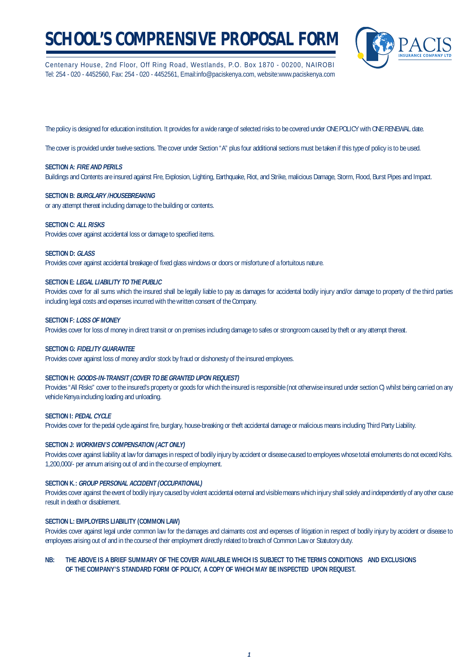# **SCHOOL'S COMPRENSIVE PROPOSAL FORM**

Centenary House, 2nd Floor, Off Ring Road, Westlands, P.O. Box 1870 - 00200, NAIROBI Tel: 254 - 020 - 4452560, Fax: 254 - 020 - 4452561, Email:info@paciskenya.com, website:www.paciskenya.com



The policy is designed for education institution. It provides for a wide range of selected risks to be covered under ONE POLICY with ONE RENEWAL date.

The cover is provided under twelve sections. The cover under Section "A" plus four additional sections must be taken if this type of policy is to be used.

#### **SECTION A: FIRE AND PERILS**

Buildings and Contents are insured against Fire, Explosion, Lighting, Earthquake, Riot, and Strike, malicious Damage, Storm, Flood, Burst Pipes and Impact.

#### **SECTION B: BURGLARY /HOUSEBREAKING**

or any attempt thereat including damage to the building or contents.

#### **SECTION C: ALL RISKS**

Provides cover against accidental loss or damage to specified items.

#### **SECTION D: GLASS**

Provides cover against accidental breakage of fixed glass windows or doors or misfortune of a fortuitous nature.

#### **SECTION E: LEGAL LIABILITY TO THE PUBLIC**

Provides cover for all sums which the insured shall be legally liable to pay as damages for accidental bodily injury and/or damage to property of the third parties including legal costs and expenses incurred with the written consent of the Company.

#### **SECTION F: LOSS OF MONEY**

Provides cover for loss of money in direct transit or on premises including damage to safes or strongroom caused by theft or any attempt thereat.

#### **SECTION G: FIDELITY GUARANTEE**

Provides cover against loss of money and/or stock by fraud or dishonesty of the insured employees.

#### **SECTION H: GOODS-IN-TRANSIT (COVER TO BE GRANTED UPON REQUEST)**

Provides "All Risks" cover to the insured's property or goods for which the insured is responsible (not otherwise insured under section C) whilst being carried on any vehicle Kenya including loading and unloading.

#### **SECTION I: PEDAL CYCLE**

Provides cover for the pedal cycle against fire, burglary, house-breaking or theft accidental damage or malicious means including Third Party Liability.

#### **SECTION J: WORKMEN'S COMPENSATION (ACT ONLY)**

Provides cover against liability at law for damages in respect of bodily injury by accident or disease caused to employees whose total emoluments do not exceed Kshs. 1,200,000/- per annum arising out of and in the course of employment.

#### **SECTION K.: GROUP PERSONAL ACCIDENT (OCCUPATIONAL)**

Provides cover against the event of bodily injury caused by violent accidental external and visible means which injury shall solely and independently of any other cause result in death or disablement.

### **SECTION L: EMPLOYERS LIABILITY (COMMON LAW)**

Provides cover against legal under common law for the damages and claimants cost and expenses of litigation in respect of bodily injury by accident or disease to employees arising out of and in the course of their employment directly related to breach of Common Law or Statutory duty.

### **NB: THE ABOVE IS A BRIEF SUMMARY OF THE COVER AVAILABLE WHICH IS SUBJECT TO THE TERMS CONDITIONS AND EXCLUSIONS OF THE COMPANY'S STANDARD FORM OF POLICY, A COPY OF WHICH MAY BE INSPECTED UPON REQUEST.**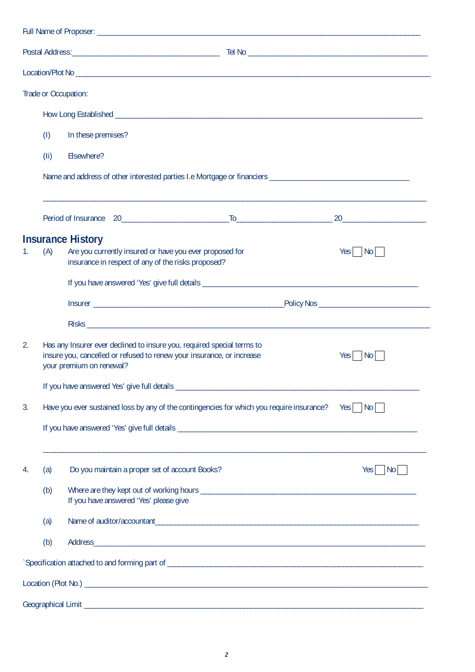|    |                    | Trade or Occupation:                                                                                                                                                        |  |                        |  |  |  |  |  |
|----|--------------------|-----------------------------------------------------------------------------------------------------------------------------------------------------------------------------|--|------------------------|--|--|--|--|--|
|    |                    |                                                                                                                                                                             |  |                        |  |  |  |  |  |
|    | (1)                | In these premises?                                                                                                                                                          |  |                        |  |  |  |  |  |
|    | (1i)<br>Elsewhere? |                                                                                                                                                                             |  |                        |  |  |  |  |  |
|    |                    |                                                                                                                                                                             |  |                        |  |  |  |  |  |
|    |                    |                                                                                                                                                                             |  |                        |  |  |  |  |  |
|    |                    |                                                                                                                                                                             |  |                        |  |  |  |  |  |
| 1. | (A)                | <b>Insurance History</b><br>Are you currently insured or have you ever proposed for<br>insurance in respect of any of the risks proposed?                                   |  | $Yes \mid No \mid$     |  |  |  |  |  |
|    |                    |                                                                                                                                                                             |  |                        |  |  |  |  |  |
|    |                    |                                                                                                                                                                             |  |                        |  |  |  |  |  |
|    |                    |                                                                                                                                                                             |  |                        |  |  |  |  |  |
| 2. |                    | Has any Insurer ever declined to insure you, required special terms to<br>insure you, cancelled or refused to renew your insurance, or increase<br>your premium on renewal? |  | Yes No                 |  |  |  |  |  |
|    |                    |                                                                                                                                                                             |  |                        |  |  |  |  |  |
| 3. |                    | Have you ever sustained loss by any of the contingencies for which you require insurance?                                                                                   |  | $Yes \frown No \frown$ |  |  |  |  |  |
|    |                    |                                                                                                                                                                             |  |                        |  |  |  |  |  |
| 4. | (a)                | Do you maintain a proper set of account Books?                                                                                                                              |  | $Yes \mid No \mid$     |  |  |  |  |  |
|    | (b)                | If you have answered 'Yes' please give                                                                                                                                      |  |                        |  |  |  |  |  |
|    | (a)                |                                                                                                                                                                             |  |                        |  |  |  |  |  |
|    | (b)                |                                                                                                                                                                             |  |                        |  |  |  |  |  |
|    |                    |                                                                                                                                                                             |  |                        |  |  |  |  |  |
|    |                    |                                                                                                                                                                             |  |                        |  |  |  |  |  |
|    |                    |                                                                                                                                                                             |  |                        |  |  |  |  |  |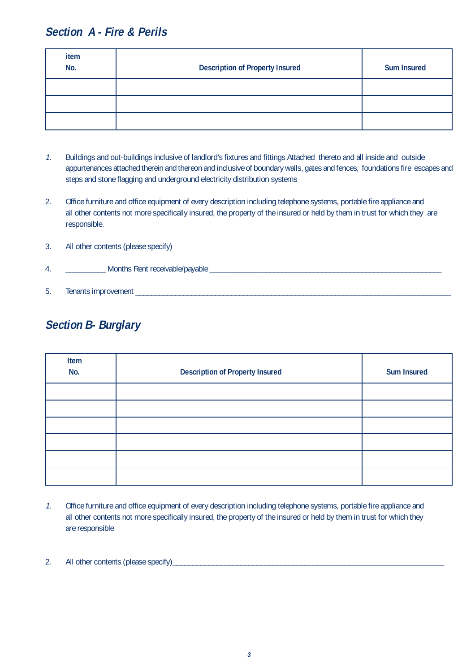### **Section A - Fire & Perils**

| item<br>No. | <b>Description of Property Insured</b> | <b>Sum Insured</b> |
|-------------|----------------------------------------|--------------------|
|             |                                        |                    |
|             |                                        |                    |
|             |                                        |                    |

- 1. Buildings and out-buildings inclusive of landlord's fixtures and fittings Attached thereto and all inside and outside appurtenances attached therein and thereon and inclusive of boundary walls, gates and fences, foundations fire escapes and steps and stone flagging and underground electricity distribution systems
- 2. Office furniture and office equipment of every description including telephone systems, portable fire appliance and all other contents not more specifically insured, the property of the insured or held by them in trust for which they are responsible.

| 3. | All other contents (please specify) |  |  |
|----|-------------------------------------|--|--|
| 4. | Months Rent receivable/payable      |  |  |
| 5. | Tenants improvement                 |  |  |

### **Section B- Burglary**

| Item<br>No. | <b>Description of Property Insured</b> | <b>Sum Insured</b> |
|-------------|----------------------------------------|--------------------|
|             |                                        |                    |
|             |                                        |                    |
|             |                                        |                    |
|             |                                        |                    |
|             |                                        |                    |
|             |                                        |                    |

1. Office furniture and office equipment of every description including telephone systems, portable fire appliance and all other contents not more specifically insured, the property of the insured or held by them in trust for which they are responsible

### 2. All other contents (please specify)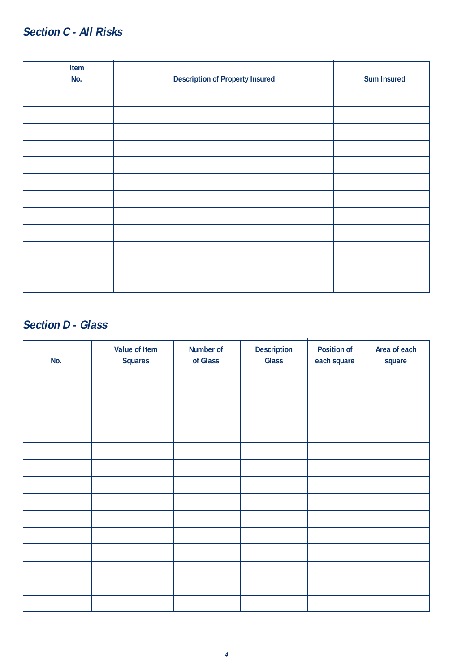### **Section C - All Risks**

| Item |                                        |                    |
|------|----------------------------------------|--------------------|
| No.  | <b>Description of Property Insured</b> | <b>Sum Insured</b> |
|      |                                        |                    |
|      |                                        |                    |
|      |                                        |                    |
|      |                                        |                    |
|      |                                        |                    |
|      |                                        |                    |
|      |                                        |                    |
|      |                                        |                    |
|      |                                        |                    |
|      |                                        |                    |
|      |                                        |                    |
|      |                                        |                    |

### **Section D - Glass**

| No. | Value of Item<br><b>Squares</b> | Number of<br>of Glass | <b>Description</b><br><b>Glass</b> | <b>Position of</b><br>each square | Area of each<br>square |
|-----|---------------------------------|-----------------------|------------------------------------|-----------------------------------|------------------------|
|     |                                 |                       |                                    |                                   |                        |
|     |                                 |                       |                                    |                                   |                        |
|     |                                 |                       |                                    |                                   |                        |
|     |                                 |                       |                                    |                                   |                        |
|     |                                 |                       |                                    |                                   |                        |
|     |                                 |                       |                                    |                                   |                        |
|     |                                 |                       |                                    |                                   |                        |
|     |                                 |                       |                                    |                                   |                        |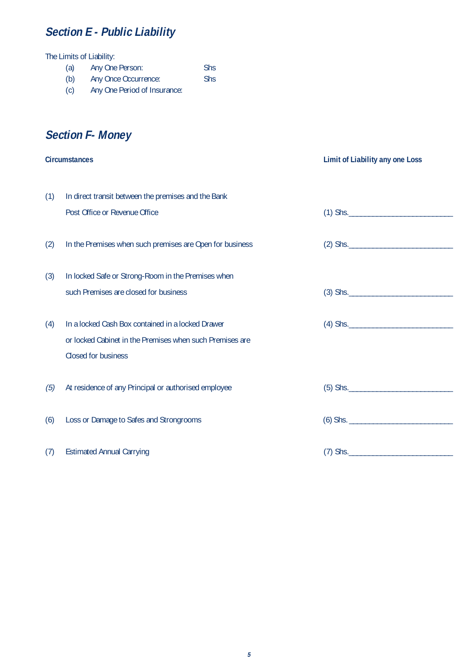### **Section E - Public Liability**

The Limits of Liability:

- (a) Any One Person: Shs
- (b) Any Once Occurrence: Shs
- (c) Any One Period of Insurance:

### **Section F- Money**

|     | <b>Circumstances</b>                                                                                          | <b>Limit of Liability any one Loss</b> |
|-----|---------------------------------------------------------------------------------------------------------------|----------------------------------------|
| (1) | In direct transit between the premises and the Bank                                                           |                                        |
|     | Post Office or Revenue Office                                                                                 |                                        |
| (2) | In the Premises when such premises are Open for business                                                      |                                        |
| (3) | In locked Safe or Strong-Room in the Premises when<br>such Premises are closed for business                   |                                        |
|     |                                                                                                               | $(3)$ Shs.                             |
| (4) | In a locked Cash Box contained in a locked Drawer<br>or locked Cabinet in the Premises when such Premises are |                                        |
|     | Closed for business                                                                                           |                                        |
| (5) | At residence of any Principal or authorised employee                                                          | $(5)$ Shs.                             |
| (6) | Loss or Damage to Safes and Strongrooms                                                                       |                                        |
| (7) | <b>Estimated Annual Carrying</b>                                                                              | $(7)$ Shs.                             |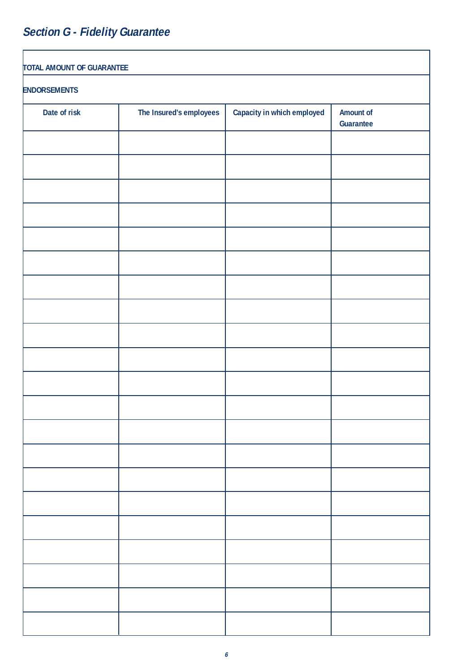# **Section G - Fidelity Guarantee**

| <b>TOTAL AMOUNT OF GUARANTEE</b> |                         |                            |                        |  |  |  |  |
|----------------------------------|-------------------------|----------------------------|------------------------|--|--|--|--|
| <b>ENDORSEMENTS</b>              |                         |                            |                        |  |  |  |  |
| Date of risk                     | The Insured's employees | Capacity in which employed | Amount of<br>Guarantee |  |  |  |  |
|                                  |                         |                            |                        |  |  |  |  |
|                                  |                         |                            |                        |  |  |  |  |
|                                  |                         |                            |                        |  |  |  |  |
|                                  |                         |                            |                        |  |  |  |  |
|                                  |                         |                            |                        |  |  |  |  |
|                                  |                         |                            |                        |  |  |  |  |
|                                  |                         |                            |                        |  |  |  |  |
|                                  |                         |                            |                        |  |  |  |  |
|                                  |                         |                            |                        |  |  |  |  |
|                                  |                         |                            |                        |  |  |  |  |
|                                  |                         |                            |                        |  |  |  |  |
|                                  |                         |                            |                        |  |  |  |  |
|                                  |                         |                            |                        |  |  |  |  |
|                                  |                         |                            |                        |  |  |  |  |
|                                  |                         |                            |                        |  |  |  |  |
|                                  |                         |                            |                        |  |  |  |  |
|                                  |                         |                            |                        |  |  |  |  |
|                                  |                         |                            |                        |  |  |  |  |
|                                  |                         |                            |                        |  |  |  |  |
|                                  |                         |                            |                        |  |  |  |  |
|                                  |                         |                            |                        |  |  |  |  |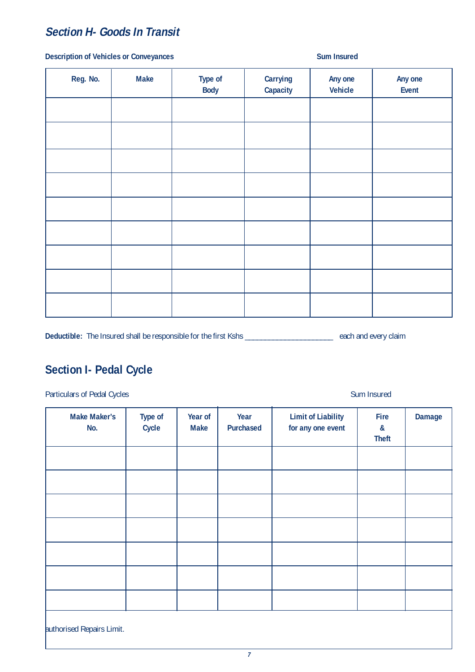### **Section H- Goods In Transit**

### **Description of Vehicles or Conveyances** Sum Insured

| Reg. No. | <b>Make</b> | Type of<br><b>Body</b> | Carrying<br>Capacity | Any one<br><b>Vehicle</b> | Any one<br>Event |
|----------|-------------|------------------------|----------------------|---------------------------|------------------|
|          |             |                        |                      |                           |                  |
|          |             |                        |                      |                           |                  |
|          |             |                        |                      |                           |                  |
|          |             |                        |                      |                           |                  |
|          |             |                        |                      |                           |                  |
|          |             |                        |                      |                           |                  |
|          |             |                        |                      |                           |                  |
|          |             |                        |                      |                           |                  |
|          |             |                        |                      |                           |                  |

Deductible: The Insured shall be responsible for the first Kshs \_\_\_\_\_\_\_\_\_\_\_\_\_\_\_\_\_\_\_\_\_\_\_\_\_\_\_ each and every claim

### **Section I- Pedal Cycle**

Particulars of Pedal Cycles Sum Insured Sum Insured

| <b>Make Maker's</b><br>No. | <b>Type of</b><br>Cycle | Year of<br><b>Make</b> | Year<br>Purchased | <b>Limit of Liability</b><br>for any one event | Fire<br>$\boldsymbol{\alpha}$<br><b>Theft</b> | Damage |
|----------------------------|-------------------------|------------------------|-------------------|------------------------------------------------|-----------------------------------------------|--------|
|                            |                         |                        |                   |                                                |                                               |        |
|                            |                         |                        |                   |                                                |                                               |        |
|                            |                         |                        |                   |                                                |                                               |        |
|                            |                         |                        |                   |                                                |                                               |        |
|                            |                         |                        |                   |                                                |                                               |        |
|                            |                         |                        |                   |                                                |                                               |        |
|                            |                         |                        |                   |                                                |                                               |        |
| authorised Repairs Limit.  |                         |                        |                   |                                                |                                               |        |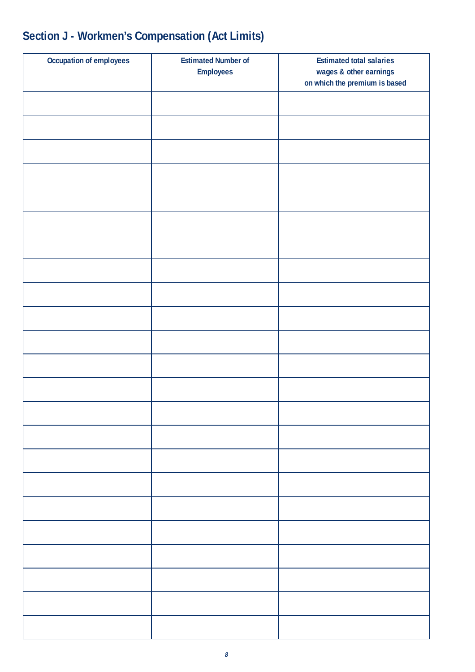| Occupation of employees | <b>Estimated Number of</b><br><b>Employees</b> | <b>Estimated total salaries</b><br>wages & other earnings<br>on which the premium is based |
|-------------------------|------------------------------------------------|--------------------------------------------------------------------------------------------|
|                         |                                                |                                                                                            |
|                         |                                                |                                                                                            |
|                         |                                                |                                                                                            |
|                         |                                                |                                                                                            |
|                         |                                                |                                                                                            |
|                         |                                                |                                                                                            |
|                         |                                                |                                                                                            |
|                         |                                                |                                                                                            |
|                         |                                                |                                                                                            |
|                         |                                                |                                                                                            |
|                         |                                                |                                                                                            |
|                         |                                                |                                                                                            |
|                         |                                                |                                                                                            |
|                         |                                                |                                                                                            |
|                         |                                                |                                                                                            |
|                         |                                                |                                                                                            |
|                         |                                                |                                                                                            |
|                         |                                                |                                                                                            |
|                         |                                                |                                                                                            |
|                         |                                                |                                                                                            |
|                         |                                                |                                                                                            |
|                         |                                                |                                                                                            |
|                         |                                                |                                                                                            |

# **Section J - Workmen's Compensation (Act Limits)**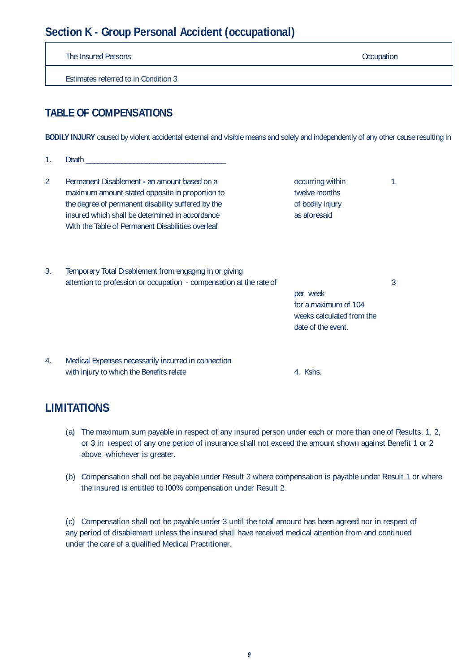### **Section K - Group Personal Accident (occupational)**

The Insured Persons **Occupation** Estimates referred to in Condition 3 **TABLE OF COMPENSATIONS BODILY INJURY** caused by violent accidental external and visible means and solely and independently of any other cause resulting in 1. Death \_\_\_\_\_\_\_\_\_\_\_\_\_\_\_\_\_\_\_\_\_\_\_\_\_\_\_\_\_\_\_\_\_\_\_ 2 Permanent Disablement - an amount based on a **contact and the contact of the 1** occurring within 1 maximum amount stated opposite in proportion to twelve months the degree of permanent disability suffered by the of bodily injury insured which shall be determined in accordance as a aforesaid With the Table of Permanent Disabilities overleaf 3. Temporary Total Disablement from engaging in or giving attention to profession or occupation - compensation at the rate of 3 per week for a maximum of 104 weeks calculated from the date of the event. 4. Medical Expenses necessarily incurred in connection with injury to which the Benefits relate 4. Kshs.

### **LIMITATIONS**

- (a) The maximum sum payable in respect of any insured person under each or more than one of Results, 1, 2, or 3 in respect of any one period of insurance shall not exceed the amount shown against Benefit 1 or 2 above whichever is greater.
- (b) Compensation shall not be payable under Result 3 where compensation is payable under Result 1 or where the insured is entitled to l00% compensation under Result 2.

(c) Compensation shall not be payable under 3 until the total amount has been agreed nor in respect of any period of disablement unless the insured shall have received medical attention from and continued under the care of a qualified Medical Practitioner.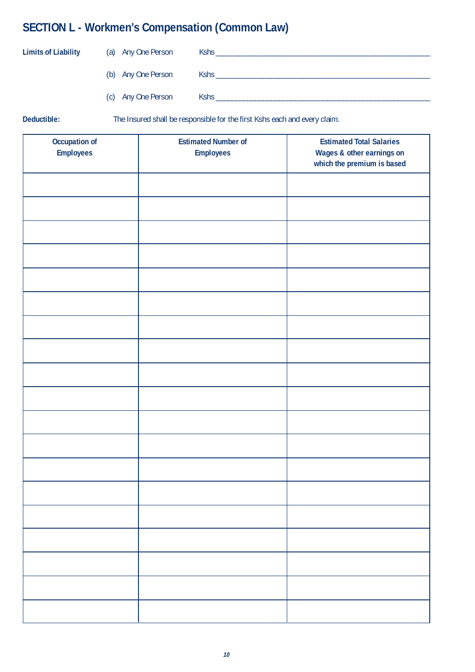## **SECTION L - Workmen's Compensation (Common Law)**

| <b>Limits of Liability</b> | (a) Any One Person | Kshs |
|----------------------------|--------------------|------|
|                            | (b) Any One Person | Kshs |
|                            | (c) Any One Person | Kshs |

**Deductible:** The Insured shall be responsible for the first Kshs each and every claim.

| Occupation of    | <b>Estimated Number of</b> | <b>Estimated Total Salaries</b> |
|------------------|----------------------------|---------------------------------|
| <b>Employees</b> | <b>Employees</b>           | Wages & other earnings on       |
|                  |                            | which the premium is based      |
|                  |                            |                                 |
|                  |                            |                                 |
|                  |                            |                                 |
|                  |                            |                                 |
|                  |                            |                                 |
|                  |                            |                                 |
|                  |                            |                                 |
|                  |                            |                                 |
|                  |                            |                                 |
|                  |                            |                                 |
|                  |                            |                                 |
|                  |                            |                                 |
|                  |                            |                                 |
|                  |                            |                                 |
|                  |                            |                                 |
|                  |                            |                                 |
|                  |                            |                                 |
|                  |                            |                                 |
|                  |                            |                                 |
|                  |                            |                                 |
|                  |                            |                                 |
|                  |                            |                                 |
|                  |                            |                                 |
|                  |                            |                                 |
|                  |                            |                                 |
|                  |                            |                                 |
|                  |                            |                                 |
|                  |                            |                                 |
|                  |                            |                                 |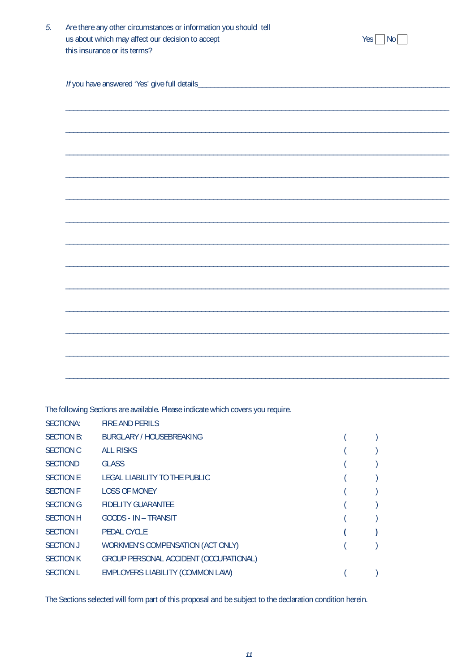| Are there any other circumstances or information you should tell |                          |
|------------------------------------------------------------------|--------------------------|
| us about which may affect our decision to accept                 | $Yes \nightharpoonup No$ |
| this insurance or its terms?                                     |                          |

 $\_$  ,  $\_$  ,  $\_$  ,  $\_$  ,  $\_$  ,  $\_$  ,  $\_$  ,  $\_$  ,  $\_$  ,  $\_$  ,  $\_$  ,  $\_$  ,  $\_$  ,  $\_$  ,  $\_$  ,  $\_$  ,  $\_$  ,  $\_$  ,  $\_$  ,  $\_$  ,  $\_$  ,  $\_$  ,  $\_$  ,  $\_$  ,  $\_$  ,  $\_$  ,  $\_$  ,  $\_$  ,  $\_$  ,  $\_$  ,  $\_$  ,  $\_$  ,  $\_$  ,  $\_$  ,  $\_$  ,  $\_$  ,  $\_$  ,

 $\_$  ,  $\_$  ,  $\_$  ,  $\_$  ,  $\_$  ,  $\_$  ,  $\_$  ,  $\_$  ,  $\_$  ,  $\_$  ,  $\_$  ,  $\_$  ,  $\_$  ,  $\_$  ,  $\_$  ,  $\_$  ,  $\_$  ,  $\_$  ,  $\_$  ,  $\_$  ,  $\_$  ,  $\_$  ,  $\_$  ,  $\_$  ,  $\_$  ,  $\_$  ,  $\_$  ,  $\_$  ,  $\_$  ,  $\_$  ,  $\_$  ,  $\_$  ,  $\_$  ,  $\_$  ,  $\_$  ,  $\_$  ,  $\_$  ,

 $\_$  ,  $\_$  ,  $\_$  ,  $\_$  ,  $\_$  ,  $\_$  ,  $\_$  ,  $\_$  ,  $\_$  ,  $\_$  ,  $\_$  ,  $\_$  ,  $\_$  ,  $\_$  ,  $\_$  ,  $\_$  ,  $\_$  ,  $\_$  ,  $\_$  ,  $\_$  ,  $\_$  ,  $\_$  ,  $\_$  ,  $\_$  ,  $\_$  ,  $\_$  ,  $\_$  ,  $\_$  ,  $\_$  ,  $\_$  ,  $\_$  ,  $\_$  ,  $\_$  ,  $\_$  ,  $\_$  ,  $\_$  ,  $\_$  ,

 $\_$  ,  $\_$  ,  $\_$  ,  $\_$  ,  $\_$  ,  $\_$  ,  $\_$  ,  $\_$  ,  $\_$  ,  $\_$  ,  $\_$  ,  $\_$  ,  $\_$  ,  $\_$  ,  $\_$  ,  $\_$  ,  $\_$  ,  $\_$  ,  $\_$  ,  $\_$  ,  $\_$  ,  $\_$  ,  $\_$  ,  $\_$  ,  $\_$  ,  $\_$  ,  $\_$  ,  $\_$  ,  $\_$  ,  $\_$  ,  $\_$  ,  $\_$  ,  $\_$  ,  $\_$  ,  $\_$  ,  $\_$  ,  $\_$  ,

 $\_$  ,  $\_$  ,  $\_$  ,  $\_$  ,  $\_$  ,  $\_$  ,  $\_$  ,  $\_$  ,  $\_$  ,  $\_$  ,  $\_$  ,  $\_$  ,  $\_$  ,  $\_$  ,  $\_$  ,  $\_$  ,  $\_$  ,  $\_$  ,  $\_$  ,  $\_$  ,  $\_$  ,  $\_$  ,  $\_$  ,  $\_$  ,  $\_$  ,  $\_$  ,  $\_$  ,  $\_$  ,  $\_$  ,  $\_$  ,  $\_$  ,  $\_$  ,  $\_$  ,  $\_$  ,  $\_$  ,  $\_$  ,  $\_$  ,

 $\_$  ,  $\_$  ,  $\_$  ,  $\_$  ,  $\_$  ,  $\_$  ,  $\_$  ,  $\_$  ,  $\_$  ,  $\_$  ,  $\_$  ,  $\_$  ,  $\_$  ,  $\_$  ,  $\_$  ,  $\_$  ,  $\_$  ,  $\_$  ,  $\_$  ,  $\_$  ,  $\_$  ,  $\_$  ,  $\_$  ,  $\_$  ,  $\_$  ,  $\_$  ,  $\_$  ,  $\_$  ,  $\_$  ,  $\_$  ,  $\_$  ,  $\_$  ,  $\_$  ,  $\_$  ,  $\_$  ,  $\_$  ,  $\_$  ,

 $\_$  ,  $\_$  ,  $\_$  ,  $\_$  ,  $\_$  ,  $\_$  ,  $\_$  ,  $\_$  ,  $\_$  ,  $\_$  ,  $\_$  ,  $\_$  ,  $\_$  ,  $\_$  ,  $\_$  ,  $\_$  ,  $\_$  ,  $\_$  ,  $\_$  ,  $\_$  ,  $\_$  ,  $\_$  ,  $\_$  ,  $\_$  ,  $\_$  ,  $\_$  ,  $\_$  ,  $\_$  ,  $\_$  ,  $\_$  ,  $\_$  ,  $\_$  ,  $\_$  ,  $\_$  ,  $\_$  ,  $\_$  ,  $\_$  ,

 $\_$  ,  $\_$  ,  $\_$  ,  $\_$  ,  $\_$  ,  $\_$  ,  $\_$  ,  $\_$  ,  $\_$  ,  $\_$  ,  $\_$  ,  $\_$  ,  $\_$  ,  $\_$  ,  $\_$  ,  $\_$  ,  $\_$  ,  $\_$  ,  $\_$  ,  $\_$  ,  $\_$  ,  $\_$  ,  $\_$  ,  $\_$  ,  $\_$  ,  $\_$  ,  $\_$  ,  $\_$  ,  $\_$  ,  $\_$  ,  $\_$  ,  $\_$  ,  $\_$  ,  $\_$  ,  $\_$  ,  $\_$  ,  $\_$  ,

 $\_$  ,  $\_$  ,  $\_$  ,  $\_$  ,  $\_$  ,  $\_$  ,  $\_$  ,  $\_$  ,  $\_$  ,  $\_$  ,  $\_$  ,  $\_$  ,  $\_$  ,  $\_$  ,  $\_$  ,  $\_$  ,  $\_$  ,  $\_$  ,  $\_$  ,  $\_$  ,  $\_$  ,  $\_$  ,  $\_$  ,  $\_$  ,  $\_$  ,  $\_$  ,  $\_$  ,  $\_$  ,  $\_$  ,  $\_$  ,  $\_$  ,  $\_$  ,  $\_$  ,  $\_$  ,  $\_$  ,  $\_$  ,  $\_$  ,

 $\_$  ,  $\_$  ,  $\_$  ,  $\_$  ,  $\_$  ,  $\_$  ,  $\_$  ,  $\_$  ,  $\_$  ,  $\_$  ,  $\_$  ,  $\_$  ,  $\_$  ,  $\_$  ,  $\_$  ,  $\_$  ,  $\_$  ,  $\_$  ,  $\_$  ,  $\_$  ,  $\_$  ,  $\_$  ,  $\_$  ,  $\_$  ,  $\_$  ,  $\_$  ,  $\_$  ,  $\_$  ,  $\_$  ,  $\_$  ,  $\_$  ,  $\_$  ,  $\_$  ,  $\_$  ,  $\_$  ,  $\_$  ,  $\_$  ,

 $\_$  ,  $\_$  ,  $\_$  ,  $\_$  ,  $\_$  ,  $\_$  ,  $\_$  ,  $\_$  ,  $\_$  ,  $\_$  ,  $\_$  ,  $\_$  ,  $\_$  ,  $\_$  ,  $\_$  ,  $\_$  ,  $\_$  ,  $\_$  ,  $\_$  ,  $\_$  ,  $\_$  ,  $\_$  ,  $\_$  ,  $\_$  ,  $\_$  ,  $\_$  ,  $\_$  ,  $\_$  ,  $\_$  ,  $\_$  ,  $\_$  ,  $\_$  ,  $\_$  ,  $\_$  ,  $\_$  ,  $\_$  ,  $\_$  ,

\_\_\_\_\_\_\_\_\_\_\_\_\_\_\_\_\_\_\_\_\_\_\_\_\_\_\_\_\_\_\_\_\_\_\_\_\_\_\_\_\_\_\_\_\_\_\_\_\_\_\_\_\_\_\_\_\_\_\_\_\_\_\_\_\_\_\_\_\_\_\_\_\_\_\_\_\_\_\_\_\_\_\_\_\_\_\_\_\_\_\_\_\_\_\_\_

 $\_$  ,  $\_$  ,  $\_$  ,  $\_$  ,  $\_$  ,  $\_$  ,  $\_$  ,  $\_$  ,  $\_$  ,  $\_$  ,  $\_$  ,  $\_$  ,  $\_$  ,  $\_$  ,  $\_$  ,  $\_$  ,  $\_$  ,  $\_$  ,  $\_$  ,  $\_$  ,  $\_$  ,  $\_$  ,  $\_$  ,  $\_$  ,  $\_$  ,  $\_$  ,  $\_$  ,  $\_$  ,  $\_$  ,  $\_$  ,  $\_$  ,  $\_$  ,  $\_$  ,  $\_$  ,  $\_$  ,  $\_$  ,  $\_$  ,

If you have answered 'Yes' give full details\_\_\_\_\_\_\_\_\_\_\_\_\_\_\_\_\_\_\_\_\_\_\_\_\_\_\_\_\_\_\_\_\_\_\_\_\_\_\_\_\_\_\_\_\_\_\_\_\_\_\_\_\_\_\_\_\_\_\_\_\_\_\_

The following Sections are available. Please indicate which covers you require.

| SECTIONA:         | <b>FIRE AND PERILS</b>                 |  |
|-------------------|----------------------------------------|--|
| <b>SECTION B:</b> | BURGLARY / HOUSEBREAKING               |  |
| <b>SECTION C</b>  | <b>ALL RISKS</b>                       |  |
| <b>SECTIOND</b>   | <b>GLASS</b>                           |  |
| <b>SECTION E</b>  | LEGAL LIABILITY TO THE PUBLIC          |  |
| <b>SECTION F</b>  | <b>LOSS OF MONEY</b>                   |  |
| <b>SECTION G</b>  | <b>FIDELITY GUARANTEE</b>              |  |
| <b>SECTION H</b>  | GOODS - IN - TRANSIT                   |  |
| <b>SECTION I</b>  | <b>PEDAL CYCLE</b>                     |  |
| <b>SECTION J</b>  | WORKMEN'S COMPENSATION (ACT ONLY)      |  |
| <b>SECTION K</b>  | GROUP PERSONAL ACCIDENT (OCCUPATIONAL) |  |
| <b>SECTION L</b>  | EMPLOYERS LIABILITY (COMMON LAW)       |  |
|                   |                                        |  |

The Sections selected will form part of this proposal and be subject to the declaration condition herein.